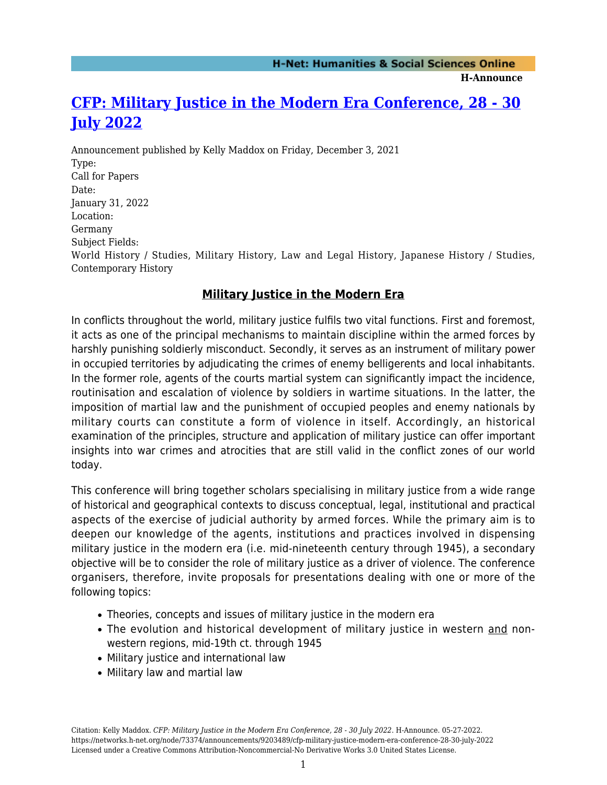**H-Announce** 

## **[CFP: Military Justice in the Modern Era Conference, 28 - 30](https://networks.h-net.org/node/73374/announcements/9203489/cfp-military-justice-modern-era-conference-28-30-july-2022) [July 2022](https://networks.h-net.org/node/73374/announcements/9203489/cfp-military-justice-modern-era-conference-28-30-july-2022)**

Announcement published by Kelly Maddox on Friday, December 3, 2021 Type: Call for Papers Date: January 31, 2022 Location: Germany Subject Fields: World History / Studies, Military History, Law and Legal History, Japanese History / Studies, Contemporary History

## **Military Justice in the Modern Era**

In conflicts throughout the world, military justice fulfils two vital functions. First and foremost, it acts as one of the principal mechanisms to maintain discipline within the armed forces by harshly punishing soldierly misconduct. Secondly, it serves as an instrument of military power in occupied territories by adjudicating the crimes of enemy belligerents and local inhabitants. In the former role, agents of the courts martial system can significantly impact the incidence, routinisation and escalation of violence by soldiers in wartime situations. In the latter, the imposition of martial law and the punishment of occupied peoples and enemy nationals by military courts can constitute a form of violence in itself. Accordingly, an historical examination of the principles, structure and application of military justice can offer important insights into war crimes and atrocities that are still valid in the conflict zones of our world today.

This conference will bring together scholars specialising in military justice from a wide range of historical and geographical contexts to discuss conceptual, legal, institutional and practical aspects of the exercise of judicial authority by armed forces. While the primary aim is to deepen our knowledge of the agents, institutions and practices involved in dispensing military justice in the modern era (i.e. mid-nineteenth century through 1945), a secondary objective will be to consider the role of military justice as a driver of violence. The conference organisers, therefore, invite proposals for presentations dealing with one or more of the following topics:

- Theories, concepts and issues of military justice in the modern era
- The evolution and historical development of military justice in western and nonwestern regions, mid-19th ct. through 1945
- Military justice and international law
- Military law and martial law